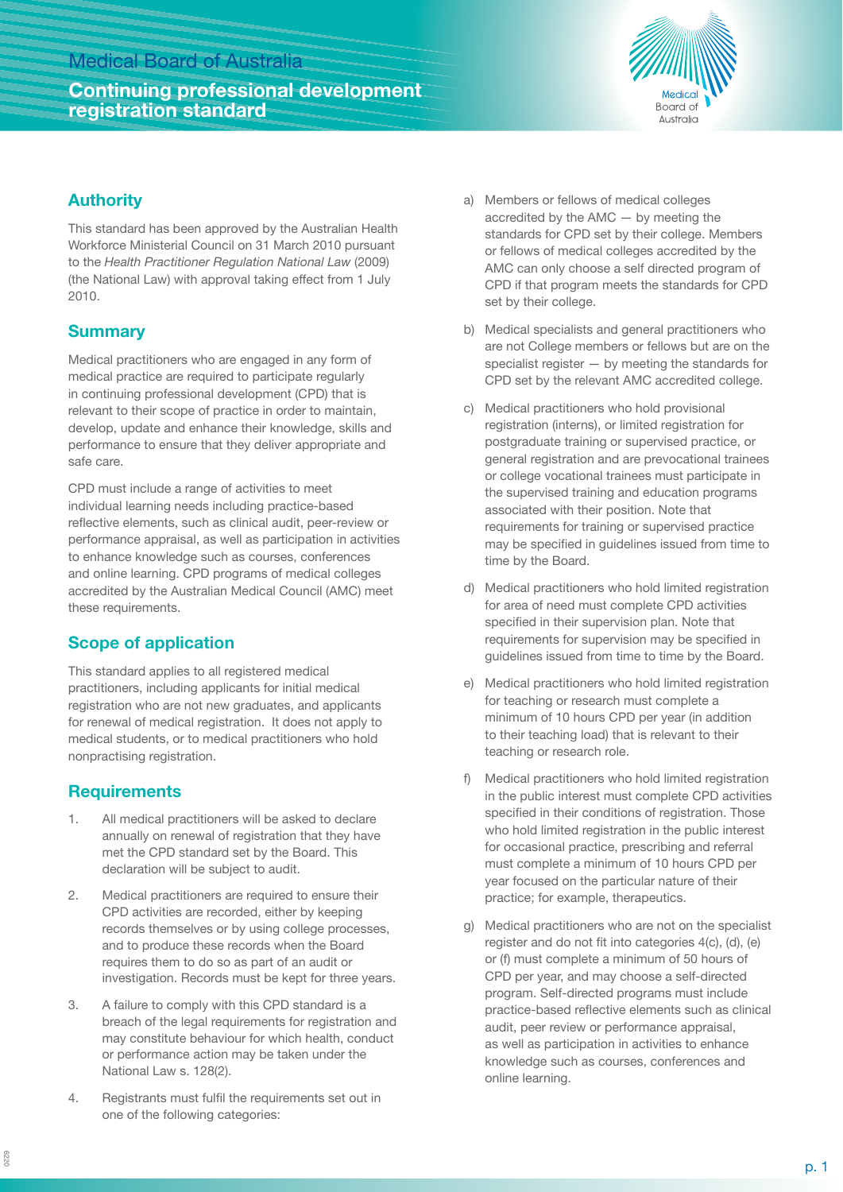# Medical Board of Australia

# **Continuing professional development registration standard**



## **Authority**

This standard has been approved by the Australian Health Workforce Ministerial Council on 31 March 2010 pursuant to the *Health Practitioner Regulation National Law* (2009) (the National Law) with approval taking effect from 1 July 2010.

## **Summary**

Medical practitioners who are engaged in any form of medical practice are required to participate regularly in continuing professional development (CPD) that is relevant to their scope of practice in order to maintain, develop, update and enhance their knowledge, skills and performance to ensure that they deliver appropriate and safe care.

CPD must include a range of activities to meet individual learning needs including practice-based reflective elements, such as clinical audit, peer-review or performance appraisal, as well as participation in activities to enhance knowledge such as courses, conferences and online learning. CPD programs of medical colleges accredited by the Australian Medical Council (AMC) meet these requirements.

# **Scope of application**

This standard applies to all registered medical practitioners, including applicants for initial medical registration who are not new graduates, and applicants for renewal of medical registration. It does not apply to medical students, or to medical practitioners who hold nonpractising registration.

### **Requirements**

- 1. All medical practitioners will be asked to declare annually on renewal of registration that they have met the CPD standard set by the Board. This declaration will be subject to audit.
- 2. Medical practitioners are required to ensure their CPD activities are recorded, either by keeping records themselves or by using college processes, and to produce these records when the Board requires them to do so as part of an audit or investigation. Records must be kept for three years.
- 3. A failure to comply with this CPD standard is a breach of the legal requirements for registration and may constitute behaviour for which health, conduct or performance action may be taken under the National Law s. 128(2).
- 4. Registrants must fulfil the requirements set out in one of the following categories:
- a) Members or fellows of medical colleges accredited by the AMC — by meeting the standards for CPD set by their college. Members or fellows of medical colleges accredited by the AMC can only choose a self directed program of CPD if that program meets the standards for CPD set by their college.
- b) Medical specialists and general practitioners who are not College members or fellows but are on the specialist register — by meeting the standards for CPD set by the relevant AMC accredited college.
- c) Medical practitioners who hold provisional registration (interns), or limited registration for postgraduate training or supervised practice, or general registration and are prevocational trainees or college vocational trainees must participate in the supervised training and education programs associated with their position. Note that requirements for training or supervised practice may be specified in guidelines issued from time to time by the Board.
- d) Medical practitioners who hold limited registration for area of need must complete CPD activities specified in their supervision plan. Note that requirements for supervision may be specified in guidelines issued from time to time by the Board.
- e) Medical practitioners who hold limited registration for teaching or research must complete a minimum of 10 hours CPD per year (in addition to their teaching load) that is relevant to their teaching or research role.
- f) Medical practitioners who hold limited registration in the public interest must complete CPD activities specified in their conditions of registration. Those who hold limited registration in the public interest for occasional practice, prescribing and referral must complete a minimum of 10 hours CPD per year focused on the particular nature of their practice; for example, therapeutics.
- g) Medical practitioners who are not on the specialist register and do not fit into categories 4(c), (d), (e) or (f) must complete a minimum of 50 hours of CPD per year, and may choose a self-directed program. Self-directed programs must include practice-based reflective elements such as clinical audit, peer review or performance appraisal, as well as participation in activities to enhance knowledge such as courses, conferences and online learning.